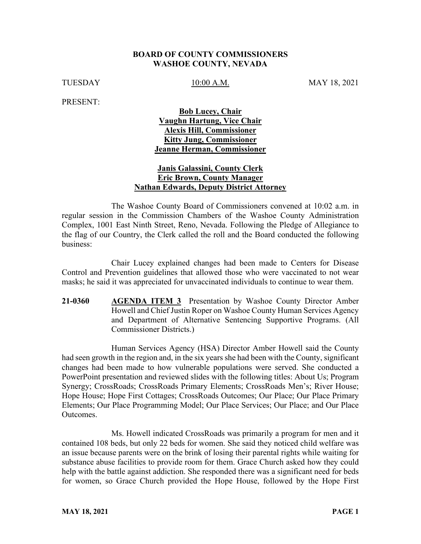#### **BOARD OF COUNTY COMMISSIONERS WASHOE COUNTY, NEVADA**

TUESDAY 10:00 A.M. MAY 18, 2021

PRESENT:

# **Bob Lucey, Chair Vaughn Hartung, Vice Chair Alexis Hill, Commissioner Kitty Jung, Commissioner Jeanne Herman, Commissioner**

### **Janis Galassini, County Clerk Eric Brown, County Manager Nathan Edwards, Deputy District Attorney**

The Washoe County Board of Commissioners convened at 10:02 a.m. in regular session in the Commission Chambers of the Washoe County Administration Complex, 1001 East Ninth Street, Reno, Nevada. Following the Pledge of Allegiance to the flag of our Country, the Clerk called the roll and the Board conducted the following business:

Chair Lucey explained changes had been made to Centers for Disease Control and Prevention guidelines that allowed those who were vaccinated to not wear masks; he said it was appreciated for unvaccinated individuals to continue to wear them.

**21-0360 AGENDA ITEM 3** Presentation by Washoe County Director Amber Howell and Chief Justin Roper on Washoe County Human Services Agency and Department of Alternative Sentencing Supportive Programs. (All Commissioner Districts.)

Human Services Agency (HSA) Director Amber Howell said the County had seen growth in the region and, in the six years she had been with the County, significant changes had been made to how vulnerable populations were served. She conducted a PowerPoint presentation and reviewed slides with the following titles: About Us; Program Synergy; CrossRoads; CrossRoads Primary Elements; CrossRoads Men's; River House; Hope House; Hope First Cottages; CrossRoads Outcomes; Our Place; Our Place Primary Elements; Our Place Programming Model; Our Place Services; Our Place; and Our Place Outcomes.

Ms. Howell indicated CrossRoads was primarily a program for men and it contained 108 beds, but only 22 beds for women. She said they noticed child welfare was an issue because parents were on the brink of losing their parental rights while waiting for substance abuse facilities to provide room for them. Grace Church asked how they could help with the battle against addiction. She responded there was a significant need for beds for women, so Grace Church provided the Hope House, followed by the Hope First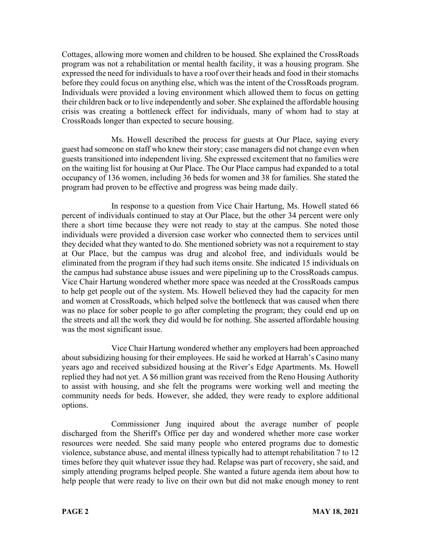Cottages, allowing more women and children to be housed. She explained the CrossRoads program was not a rehabilitation or mental health facility, it was a housing program. She expressed the need for individuals to have a roof over their heads and food in their stomachs before they could focus on anything else, which was the intent of the CrossRoads program. Individuals were provided a loving environment which allowed them to focus on getting their children back or to live independently and sober. She explained the affordable housing crisis was creating a bottleneck effect for individuals, many of whom had to stay at CrossRoads longer than expected to secure housing.

Ms. Howell described the process for guests at Our Place, saying every guest had someone on staff who knew their story; case managers did not change even when guests transitioned into independent living. She expressed excitement that no families were on the waiting list for housing at Our Place. The Our Place campus had expanded to a total occupancy of 136 women, including 36 beds for women and 38 for families. She stated the program had proven to be effective and progress was being made daily.

In response to a question from Vice Chair Hartung, Ms. Howell stated 66 percent of individuals continued to stay at Our Place, but the other 34 percent were only there a short time because they were not ready to stay at the campus. She noted those individuals were provided a diversion case worker who connected them to services until they decided what they wanted to do. She mentioned sobriety was not a requirement to stay at Our Place, but the campus was drug and alcohol free, and individuals would be eliminated from the program if they had such items onsite. She indicated 15 individuals on the campus had substance abuse issues and were pipelining up to the CrossRoads campus. Vice Chair Hartung wondered whether more space was needed at the CrossRoads campus to help get people out of the system. Ms. Howell believed they had the capacity for men and women at CrossRoads, which helped solve the bottleneck that was caused when there was no place for sober people to go after completing the program; they could end up on the streets and all the work they did would be for nothing. She asserted affordable housing was the most significant issue.

Vice Chair Hartung wondered whether any employers had been approached about subsidizing housing for their employees. He said he worked at Harrah's Casino many years ago and received subsidized housing at the River's Edge Apartments. Ms. Howell replied they had not yet. A \$6 million grant was received from the Reno Housing Authority to assist with housing, and she felt the programs were working well and meeting the community needs for beds. However, she added, they were ready to explore additional options.

Commissioner Jung inquired about the average number of people discharged from the Sheriff's Office per day and wondered whether more case worker resources were needed. She said many people who entered programs due to domestic violence, substance abuse, and mental illness typically had to attempt rehabilitation 7 to 12 times before they quit whatever issue they had. Relapse was part of recovery, she said, and simply attending programs helped people. She wanted a future agenda item about how to help people that were ready to live on their own but did not make enough money to rent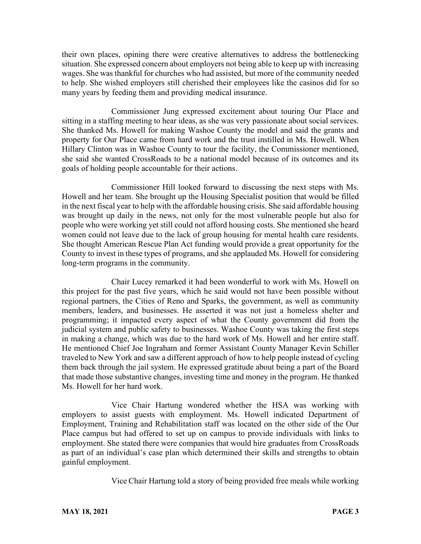their own places, opining there were creative alternatives to address the bottlenecking situation. She expressed concern about employers not being able to keep up with increasing wages. She was thankful for churches who had assisted, but more of the community needed to help. She wished employers still cherished their employees like the casinos did for so many years by feeding them and providing medical insurance.

Commissioner Jung expressed excitement about touring Our Place and sitting in a staffing meeting to hear ideas, as she was very passionate about social services. She thanked Ms. Howell for making Washoe County the model and said the grants and property for Our Place came from hard work and the trust instilled in Ms. Howell. When Hillary Clinton was in Washoe County to tour the facility, the Commissioner mentioned, she said she wanted CrossRoads to be a national model because of its outcomes and its goals of holding people accountable for their actions.

Commissioner Hill looked forward to discussing the next steps with Ms. Howell and her team. She brought up the Housing Specialist position that would be filled in the next fiscal year to help with the affordable housing crisis. She said affordable housing was brought up daily in the news, not only for the most vulnerable people but also for people who were working yet still could not afford housing costs. She mentioned she heard women could not leave due to the lack of group housing for mental health care residents. She thought American Rescue Plan Act funding would provide a great opportunity for the County to invest in these types of programs, and she applauded Ms. Howell for considering long-term programs in the community.

Chair Lucey remarked it had been wonderful to work with Ms. Howell on this project for the past five years, which he said would not have been possible without regional partners, the Cities of Reno and Sparks, the government, as well as community members, leaders, and businesses. He asserted it was not just a homeless shelter and programming; it impacted every aspect of what the County government did from the judicial system and public safety to businesses. Washoe County was taking the first steps in making a change, which was due to the hard work of Ms. Howell and her entire staff. He mentioned Chief Joe Ingraham and former Assistant County Manager Kevin Schiller traveled to New York and saw a different approach of how to help people instead of cycling them back through the jail system. He expressed gratitude about being a part of the Board that made those substantive changes, investing time and money in the program. He thanked Ms. Howell for her hard work.

Vice Chair Hartung wondered whether the HSA was working with employers to assist guests with employment. Ms. Howell indicated Department of Employment, Training and Rehabilitation staff was located on the other side of the Our Place campus but had offered to set up on campus to provide individuals with links to employment. She stated there were companies that would hire graduates from CrossRoads as part of an individual's case plan which determined their skills and strengths to obtain gainful employment.

Vice Chair Hartung told a story of being provided free meals while working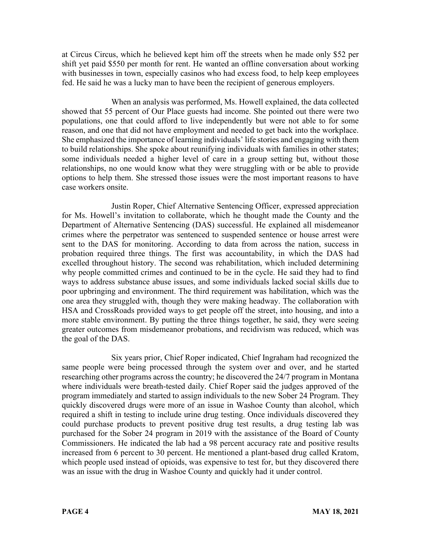at Circus Circus, which he believed kept him off the streets when he made only \$52 per shift yet paid \$550 per month for rent. He wanted an offline conversation about working with businesses in town, especially casinos who had excess food, to help keep employees fed. He said he was a lucky man to have been the recipient of generous employers.

When an analysis was performed, Ms. Howell explained, the data collected showed that 55 percent of Our Place guests had income. She pointed out there were two populations, one that could afford to live independently but were not able to for some reason, and one that did not have employment and needed to get back into the workplace. She emphasized the importance of learning individuals' life stories and engaging with them to build relationships. She spoke about reunifying individuals with families in other states; some individuals needed a higher level of care in a group setting but, without those relationships, no one would know what they were struggling with or be able to provide options to help them. She stressed those issues were the most important reasons to have case workers onsite.

Justin Roper, Chief Alternative Sentencing Officer, expressed appreciation for Ms. Howell's invitation to collaborate, which he thought made the County and the Department of Alternative Sentencing (DAS) successful. He explained all misdemeanor crimes where the perpetrator was sentenced to suspended sentence or house arrest were sent to the DAS for monitoring. According to data from across the nation, success in probation required three things. The first was accountability, in which the DAS had excelled throughout history. The second was rehabilitation, which included determining why people committed crimes and continued to be in the cycle. He said they had to find ways to address substance abuse issues, and some individuals lacked social skills due to poor upbringing and environment. The third requirement was habilitation, which was the one area they struggled with, though they were making headway. The collaboration with HSA and CrossRoads provided ways to get people off the street, into housing, and into a more stable environment. By putting the three things together, he said, they were seeing greater outcomes from misdemeanor probations, and recidivism was reduced, which was the goal of the DAS.

Six years prior, Chief Roper indicated, Chief Ingraham had recognized the same people were being processed through the system over and over, and he started researching other programs across the country; he discovered the 24/7 program in Montana where individuals were breath-tested daily. Chief Roper said the judges approved of the program immediately and started to assign individuals to the new Sober 24 Program. They quickly discovered drugs were more of an issue in Washoe County than alcohol, which required a shift in testing to include urine drug testing. Once individuals discovered they could purchase products to prevent positive drug test results, a drug testing lab was purchased for the Sober 24 program in 2019 with the assistance of the Board of County Commissioners. He indicated the lab had a 98 percent accuracy rate and positive results increased from 6 percent to 30 percent. He mentioned a plant-based drug called Kratom, which people used instead of opioids, was expensive to test for, but they discovered there was an issue with the drug in Washoe County and quickly had it under control.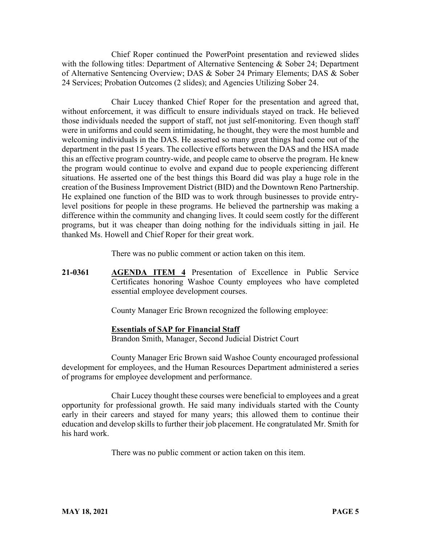Chief Roper continued the PowerPoint presentation and reviewed slides with the following titles: Department of Alternative Sentencing & Sober 24; Department of Alternative Sentencing Overview; DAS & Sober 24 Primary Elements; DAS & Sober 24 Services; Probation Outcomes (2 slides); and Agencies Utilizing Sober 24.

Chair Lucey thanked Chief Roper for the presentation and agreed that, without enforcement, it was difficult to ensure individuals stayed on track. He believed those individuals needed the support of staff, not just self-monitoring. Even though staff were in uniforms and could seem intimidating, he thought, they were the most humble and welcoming individuals in the DAS. He asserted so many great things had come out of the department in the past 15 years. The collective efforts between the DAS and the HSA made this an effective program country-wide, and people came to observe the program. He knew the program would continue to evolve and expand due to people experiencing different situations. He asserted one of the best things this Board did was play a huge role in the creation of the Business Improvement District (BID) and the Downtown Reno Partnership. He explained one function of the BID was to work through businesses to provide entrylevel positions for people in these programs. He believed the partnership was making a difference within the community and changing lives. It could seem costly for the different programs, but it was cheaper than doing nothing for the individuals sitting in jail. He thanked Ms. Howell and Chief Roper for their great work.

There was no public comment or action taken on this item.

**21-0361 AGENDA ITEM 4** Presentation of Excellence in Public Service Certificates honoring Washoe County employees who have completed essential employee development courses.

County Manager Eric Brown recognized the following employee:

#### **Essentials of SAP for Financial Staff**

Brandon Smith, Manager, Second Judicial District Court

County Manager Eric Brown said Washoe County encouraged professional development for employees, and the Human Resources Department administered a series of programs for employee development and performance.

Chair Lucey thought these courses were beneficial to employees and a great opportunity for professional growth. He said many individuals started with the County early in their careers and stayed for many years; this allowed them to continue their education and develop skills to further their job placement. He congratulated Mr. Smith for his hard work.

There was no public comment or action taken on this item.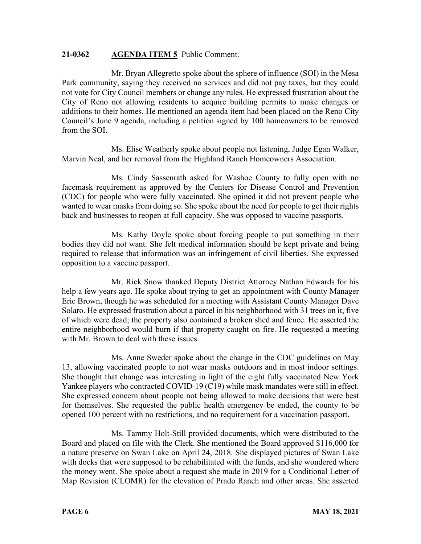### **21-0362 AGENDA ITEM 5** Public Comment.

Mr. Bryan Allegretto spoke about the sphere of influence (SOI) in the Mesa Park community, saying they received no services and did not pay taxes, but they could not vote for City Council members or change any rules. He expressed frustration about the City of Reno not allowing residents to acquire building permits to make changes or additions to their homes. He mentioned an agenda item had been placed on the Reno City Council's June 9 agenda, including a petition signed by 100 homeowners to be removed from the SOI.

Ms. Elise Weatherly spoke about people not listening, Judge Egan Walker, Marvin Neal, and her removal from the Highland Ranch Homeowners Association.

Ms. Cindy Sassenrath asked for Washoe County to fully open with no facemask requirement as approved by the Centers for Disease Control and Prevention (CDC) for people who were fully vaccinated. She opined it did not prevent people who wanted to wear masks from doing so. She spoke about the need for people to get their rights back and businesses to reopen at full capacity. She was opposed to vaccine passports.

Ms. Kathy Doyle spoke about forcing people to put something in their bodies they did not want. She felt medical information should be kept private and being required to release that information was an infringement of civil liberties. She expressed opposition to a vaccine passport.

Mr. Rick Snow thanked Deputy District Attorney Nathan Edwards for his help a few years ago. He spoke about trying to get an appointment with County Manager Eric Brown, though he was scheduled for a meeting with Assistant County Manager Dave Solaro. He expressed frustration about a parcel in his neighborhood with 31 trees on it, five of which were dead; the property also contained a broken shed and fence. He asserted the entire neighborhood would burn if that property caught on fire. He requested a meeting with Mr. Brown to deal with these issues.

Ms. Anne Sweder spoke about the change in the CDC guidelines on May 13, allowing vaccinated people to not wear masks outdoors and in most indoor settings. She thought that change was interesting in light of the eight fully vaccinated New York Yankee players who contracted COVID-19 (C19) while mask mandates were still in effect. She expressed concern about people not being allowed to make decisions that were best for themselves. She requested the public health emergency be ended, the county to be opened 100 percent with no restrictions, and no requirement for a vaccination passport.

Ms. Tammy Holt-Still provided documents, which were distributed to the Board and placed on file with the Clerk. She mentioned the Board approved \$116,000 for a nature preserve on Swan Lake on April 24, 2018. She displayed pictures of Swan Lake with docks that were supposed to be rehabilitated with the funds, and she wondered where the money went. She spoke about a request she made in 2019 for a Conditional Letter of Map Revision (CLOMR) for the elevation of Prado Ranch and other areas. She asserted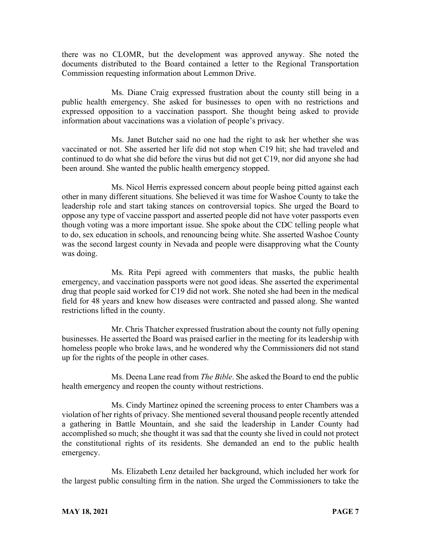there was no CLOMR, but the development was approved anyway. She noted the documents distributed to the Board contained a letter to the Regional Transportation Commission requesting information about Lemmon Drive.

Ms. Diane Craig expressed frustration about the county still being in a public health emergency. She asked for businesses to open with no restrictions and expressed opposition to a vaccination passport. She thought being asked to provide information about vaccinations was a violation of people's privacy.

Ms. Janet Butcher said no one had the right to ask her whether she was vaccinated or not. She asserted her life did not stop when C19 hit; she had traveled and continued to do what she did before the virus but did not get C19, nor did anyone she had been around. She wanted the public health emergency stopped.

Ms. Nicol Herris expressed concern about people being pitted against each other in many different situations. She believed it was time for Washoe County to take the leadership role and start taking stances on controversial topics. She urged the Board to oppose any type of vaccine passport and asserted people did not have voter passports even though voting was a more important issue. She spoke about the CDC telling people what to do, sex education in schools, and renouncing being white. She asserted Washoe County was the second largest county in Nevada and people were disapproving what the County was doing.

Ms. Rita Pepi agreed with commenters that masks, the public health emergency, and vaccination passports were not good ideas. She asserted the experimental drug that people said worked for C19 did not work. She noted she had been in the medical field for 48 years and knew how diseases were contracted and passed along. She wanted restrictions lifted in the county.

Mr. Chris Thatcher expressed frustration about the county not fully opening businesses. He asserted the Board was praised earlier in the meeting for its leadership with homeless people who broke laws, and he wondered why the Commissioners did not stand up for the rights of the people in other cases.

Ms. Deena Lane read from *The Bible*. She asked the Board to end the public health emergency and reopen the county without restrictions.

Ms. Cindy Martinez opined the screening process to enter Chambers was a violation of her rights of privacy. She mentioned several thousand people recently attended a gathering in Battle Mountain, and she said the leadership in Lander County had accomplished so much; she thought it was sad that the county she lived in could not protect the constitutional rights of its residents. She demanded an end to the public health emergency.

Ms. Elizabeth Lenz detailed her background, which included her work for the largest public consulting firm in the nation. She urged the Commissioners to take the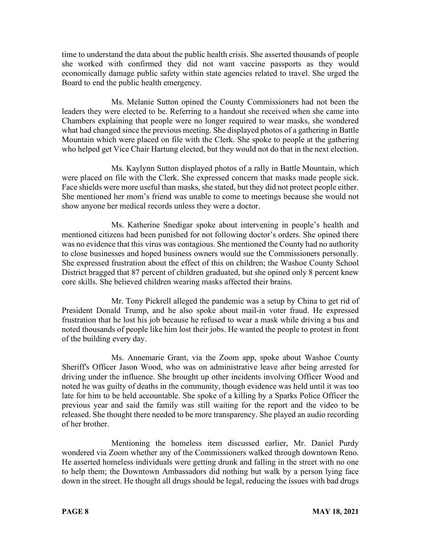time to understand the data about the public health crisis. She asserted thousands of people she worked with confirmed they did not want vaccine passports as they would economically damage public safety within state agencies related to travel. She urged the Board to end the public health emergency.

Ms. Melanie Sutton opined the County Commissioners had not been the leaders they were elected to be. Referring to a handout she received when she came into Chambers explaining that people were no longer required to wear masks, she wondered what had changed since the previous meeting. She displayed photos of a gathering in Battle Mountain which were placed on file with the Clerk. She spoke to people at the gathering who helped get Vice Chair Hartung elected, but they would not do that in the next election.

Ms. Kaylynn Sutton displayed photos of a rally in Battle Mountain, which were placed on file with the Clerk. She expressed concern that masks made people sick. Face shields were more useful than masks, she stated, but they did not protect people either. She mentioned her mom's friend was unable to come to meetings because she would not show anyone her medical records unless they were a doctor.

Ms. Katherine Snedigar spoke about intervening in people's health and mentioned citizens had been punished for not following doctor's orders. She opined there was no evidence that this virus was contagious. She mentioned the County had no authority to close businesses and hoped business owners would sue the Commissioners personally. She expressed frustration about the effect of this on children; the Washoe County School District bragged that 87 percent of children graduated, but she opined only 8 percent knew core skills. She believed children wearing masks affected their brains.

Mr. Tony Pickrell alleged the pandemic was a setup by China to get rid of President Donald Trump, and he also spoke about mail-in voter fraud. He expressed frustration that he lost his job because he refused to wear a mask while driving a bus and noted thousands of people like him lost their jobs. He wanted the people to protest in front of the building every day.

Ms. Annemarie Grant, via the Zoom app, spoke about Washoe County Sheriff's Officer Jason Wood, who was on administrative leave after being arrested for driving under the influence. She brought up other incidents involving Officer Wood and noted he was guilty of deaths in the community, though evidence was held until it was too late for him to be held accountable. She spoke of a killing by a Sparks Police Officer the previous year and said the family was still waiting for the report and the video to be released. She thought there needed to be more transparency. She played an audio recording of her brother.

Mentioning the homeless item discussed earlier, Mr. Daniel Purdy wondered via Zoom whether any of the Commissioners walked through downtown Reno. He asserted homeless individuals were getting drunk and falling in the street with no one to help them; the Downtown Ambassadors did nothing but walk by a person lying face down in the street. He thought all drugs should be legal, reducing the issues with bad drugs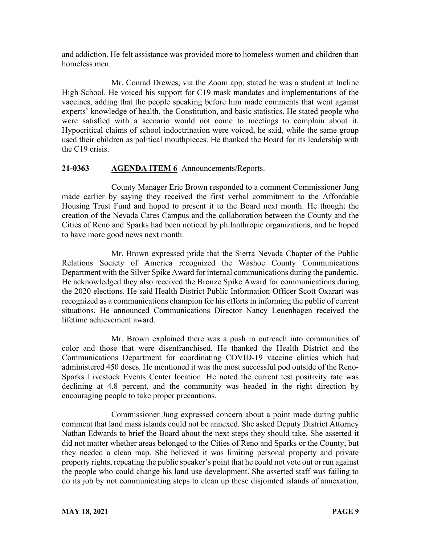and addiction. He felt assistance was provided more to homeless women and children than homeless men.

Mr. Conrad Drewes, via the Zoom app, stated he was a student at Incline High School. He voiced his support for C19 mask mandates and implementations of the vaccines, adding that the people speaking before him made comments that went against experts' knowledge of health, the Constitution, and basic statistics. He stated people who were satisfied with a scenario would not come to meetings to complain about it. Hypocritical claims of school indoctrination were voiced, he said, while the same group used their children as political mouthpieces. He thanked the Board for its leadership with the C19 crisis.

# **21-0363 AGENDA ITEM 6** Announcements/Reports.

County Manager Eric Brown responded to a comment Commissioner Jung made earlier by saying they received the first verbal commitment to the Affordable Housing Trust Fund and hoped to present it to the Board next month. He thought the creation of the Nevada Cares Campus and the collaboration between the County and the Cities of Reno and Sparks had been noticed by philanthropic organizations, and he hoped to have more good news next month.

Mr. Brown expressed pride that the Sierra Nevada Chapter of the Public Relations Society of America recognized the Washoe County Communications Department with the Silver Spike Award for internal communications during the pandemic. He acknowledged they also received the Bronze Spike Award for communications during the 2020 elections. He said Health District Public Information Officer Scott Oxarart was recognized as a communications champion for his efforts in informing the public of current situations. He announced Communications Director Nancy Leuenhagen received the lifetime achievement award.

Mr. Brown explained there was a push in outreach into communities of color and those that were disenfranchised. He thanked the Health District and the Communications Department for coordinating COVID-19 vaccine clinics which had administered 450 doses. He mentioned it was the most successful pod outside of the Reno-Sparks Livestock Events Center location. He noted the current test positivity rate was declining at 4.8 percent, and the community was headed in the right direction by encouraging people to take proper precautions.

Commissioner Jung expressed concern about a point made during public comment that land mass islands could not be annexed. She asked Deputy District Attorney Nathan Edwards to brief the Board about the next steps they should take. She asserted it did not matter whether areas belonged to the Cities of Reno and Sparks or the County, but they needed a clean map. She believed it was limiting personal property and private property rights, repeating the public speaker's point that he could not vote out or run against the people who could change his land use development. She asserted staff was failing to do its job by not communicating steps to clean up these disjointed islands of annexation,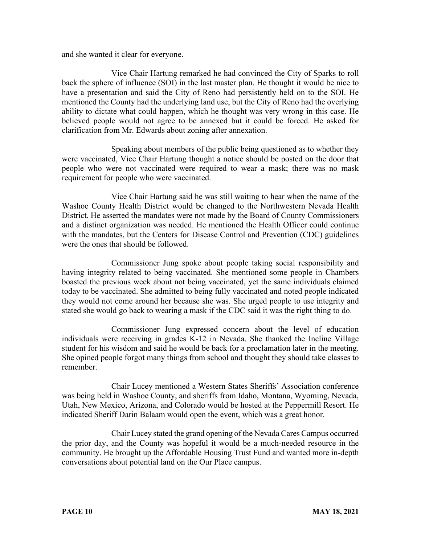and she wanted it clear for everyone.

Vice Chair Hartung remarked he had convinced the City of Sparks to roll back the sphere of influence (SOI) in the last master plan. He thought it would be nice to have a presentation and said the City of Reno had persistently held on to the SOI. He mentioned the County had the underlying land use, but the City of Reno had the overlying ability to dictate what could happen, which he thought was very wrong in this case. He believed people would not agree to be annexed but it could be forced. He asked for clarification from Mr. Edwards about zoning after annexation.

Speaking about members of the public being questioned as to whether they were vaccinated, Vice Chair Hartung thought a notice should be posted on the door that people who were not vaccinated were required to wear a mask; there was no mask requirement for people who were vaccinated.

Vice Chair Hartung said he was still waiting to hear when the name of the Washoe County Health District would be changed to the Northwestern Nevada Health District. He asserted the mandates were not made by the Board of County Commissioners and a distinct organization was needed. He mentioned the Health Officer could continue with the mandates, but the Centers for Disease Control and Prevention (CDC) guidelines were the ones that should be followed.

Commissioner Jung spoke about people taking social responsibility and having integrity related to being vaccinated. She mentioned some people in Chambers boasted the previous week about not being vaccinated, yet the same individuals claimed today to be vaccinated. She admitted to being fully vaccinated and noted people indicated they would not come around her because she was. She urged people to use integrity and stated she would go back to wearing a mask if the CDC said it was the right thing to do.

Commissioner Jung expressed concern about the level of education individuals were receiving in grades K-12 in Nevada. She thanked the Incline Village student for his wisdom and said he would be back for a proclamation later in the meeting. She opined people forgot many things from school and thought they should take classes to remember.

Chair Lucey mentioned a Western States Sheriffs' Association conference was being held in Washoe County, and sheriffs from Idaho, Montana, Wyoming, Nevada, Utah, New Mexico, Arizona, and Colorado would be hosted at the Peppermill Resort. He indicated Sheriff Darin Balaam would open the event, which was a great honor.

Chair Lucey stated the grand opening of the Nevada Cares Campus occurred the prior day, and the County was hopeful it would be a much-needed resource in the community. He brought up the Affordable Housing Trust Fund and wanted more in-depth conversations about potential land on the Our Place campus.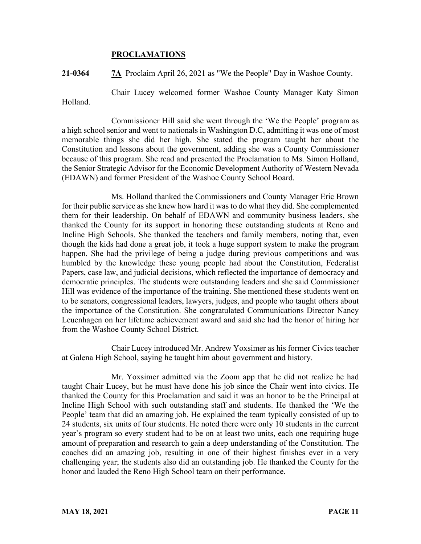### **PROCLAMATIONS**

**21-0364 7A** Proclaim April 26, 2021 as "We the People" Day in Washoe County.

Chair Lucey welcomed former Washoe County Manager Katy Simon

Holland.

Commissioner Hill said she went through the 'We the People' program as a high school senior and went to nationals in Washington D.C, admitting it was one of most memorable things she did her high. She stated the program taught her about the Constitution and lessons about the government, adding she was a County Commissioner because of this program. She read and presented the Proclamation to Ms. Simon Holland, the Senior Strategic Advisor for the Economic Development Authority of Western Nevada (EDAWN) and former President of the Washoe County School Board.

Ms. Holland thanked the Commissioners and County Manager Eric Brown for their public service as she knew how hard it was to do what they did. She complemented them for their leadership. On behalf of EDAWN and community business leaders, she thanked the County for its support in honoring these outstanding students at Reno and Incline High Schools. She thanked the teachers and family members, noting that, even though the kids had done a great job, it took a huge support system to make the program happen. She had the privilege of being a judge during previous competitions and was humbled by the knowledge these young people had about the Constitution, Federalist Papers, case law, and judicial decisions, which reflected the importance of democracy and democratic principles. The students were outstanding leaders and she said Commissioner Hill was evidence of the importance of the training. She mentioned these students went on to be senators, congressional leaders, lawyers, judges, and people who taught others about the importance of the Constitution. She congratulated Communications Director Nancy Leuenhagen on her lifetime achievement award and said she had the honor of hiring her from the Washoe County School District.

Chair Lucey introduced Mr. Andrew Yoxsimer as his former Civics teacher at Galena High School, saying he taught him about government and history.

Mr. Yoxsimer admitted via the Zoom app that he did not realize he had taught Chair Lucey, but he must have done his job since the Chair went into civics. He thanked the County for this Proclamation and said it was an honor to be the Principal at Incline High School with such outstanding staff and students. He thanked the 'We the People' team that did an amazing job. He explained the team typically consisted of up to 24 students, six units of four students. He noted there were only 10 students in the current year's program so every student had to be on at least two units, each one requiring huge amount of preparation and research to gain a deep understanding of the Constitution. The coaches did an amazing job, resulting in one of their highest finishes ever in a very challenging year; the students also did an outstanding job. He thanked the County for the honor and lauded the Reno High School team on their performance.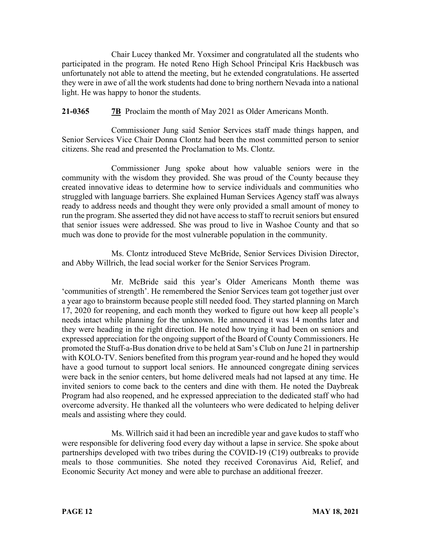Chair Lucey thanked Mr. Yoxsimer and congratulated all the students who participated in the program. He noted Reno High School Principal Kris Hackbusch was unfortunately not able to attend the meeting, but he extended congratulations. He asserted they were in awe of all the work students had done to bring northern Nevada into a national light. He was happy to honor the students.

# **21-0365 7B** Proclaim the month of May 2021 as Older Americans Month.

Commissioner Jung said Senior Services staff made things happen, and Senior Services Vice Chair Donna Clontz had been the most committed person to senior citizens. She read and presented the Proclamation to Ms. Clontz.

Commissioner Jung spoke about how valuable seniors were in the community with the wisdom they provided. She was proud of the County because they created innovative ideas to determine how to service individuals and communities who struggled with language barriers. She explained Human Services Agency staff was always ready to address needs and thought they were only provided a small amount of money to run the program. She asserted they did not have access to staff to recruit seniors but ensured that senior issues were addressed. She was proud to live in Washoe County and that so much was done to provide for the most vulnerable population in the community.

Ms. Clontz introduced Steve McBride, Senior Services Division Director, and Abby Willrich, the lead social worker for the Senior Services Program.

Mr. McBride said this year's Older Americans Month theme was 'communities of strength'. He remembered the Senior Services team got together just over a year ago to brainstorm because people still needed food. They started planning on March 17, 2020 for reopening, and each month they worked to figure out how keep all people's needs intact while planning for the unknown. He announced it was 14 months later and they were heading in the right direction. He noted how trying it had been on seniors and expressed appreciation for the ongoing support of the Board of County Commissioners. He promoted the Stuff-a-Bus donation drive to be held at Sam's Club on June 21 in partnership with KOLO-TV. Seniors benefited from this program year-round and he hoped they would have a good turnout to support local seniors. He announced congregate dining services were back in the senior centers, but home delivered meals had not lapsed at any time. He invited seniors to come back to the centers and dine with them. He noted the Daybreak Program had also reopened, and he expressed appreciation to the dedicated staff who had overcome adversity. He thanked all the volunteers who were dedicated to helping deliver meals and assisting where they could.

Ms. Willrich said it had been an incredible year and gave kudos to staff who were responsible for delivering food every day without a lapse in service. She spoke about partnerships developed with two tribes during the COVID-19 (C19) outbreaks to provide meals to those communities. She noted they received Coronavirus Aid, Relief, and Economic Security Act money and were able to purchase an additional freezer.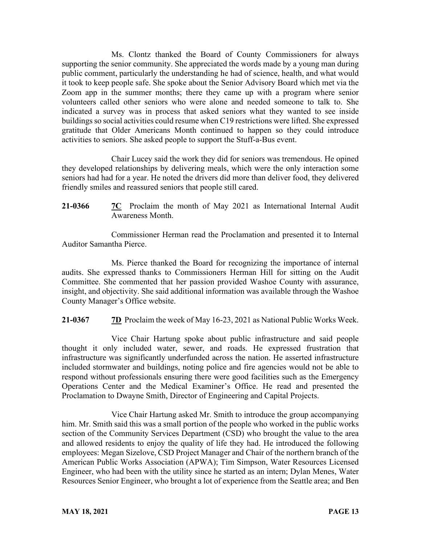Ms. Clontz thanked the Board of County Commissioners for always supporting the senior community. She appreciated the words made by a young man during public comment, particularly the understanding he had of science, health, and what would it took to keep people safe. She spoke about the Senior Advisory Board which met via the Zoom app in the summer months; there they came up with a program where senior volunteers called other seniors who were alone and needed someone to talk to. She indicated a survey was in process that asked seniors what they wanted to see inside buildings so social activities could resume when C19 restrictions were lifted. She expressed gratitude that Older Americans Month continued to happen so they could introduce activities to seniors. She asked people to support the Stuff-a-Bus event.

Chair Lucey said the work they did for seniors was tremendous. He opined they developed relationships by delivering meals, which were the only interaction some seniors had had for a year. He noted the drivers did more than deliver food, they delivered friendly smiles and reassured seniors that people still cared.

**21-0366 7C** Proclaim the month of May 2021 as International Internal Audit Awareness Month.

Commissioner Herman read the Proclamation and presented it to Internal Auditor Samantha Pierce.

Ms. Pierce thanked the Board for recognizing the importance of internal audits. She expressed thanks to Commissioners Herman Hill for sitting on the Audit Committee. She commented that her passion provided Washoe County with assurance, insight, and objectivity. She said additional information was available through the Washoe County Manager's Office website.

**21-0367 7D** Proclaim the week of May 16-23, 2021 as National Public Works Week.

Vice Chair Hartung spoke about public infrastructure and said people thought it only included water, sewer, and roads. He expressed frustration that infrastructure was significantly underfunded across the nation. He asserted infrastructure included stormwater and buildings, noting police and fire agencies would not be able to respond without professionals ensuring there were good facilities such as the Emergency Operations Center and the Medical Examiner's Office. He read and presented the Proclamation to Dwayne Smith, Director of Engineering and Capital Projects.

Vice Chair Hartung asked Mr. Smith to introduce the group accompanying him. Mr. Smith said this was a small portion of the people who worked in the public works section of the Community Services Department (CSD) who brought the value to the area and allowed residents to enjoy the quality of life they had. He introduced the following employees: Megan Sizelove, CSD Project Manager and Chair of the northern branch of the American Public Works Association (APWA); Tim Simpson, Water Resources Licensed Engineer, who had been with the utility since he started as an intern; Dylan Menes, Water Resources Senior Engineer, who brought a lot of experience from the Seattle area; and Ben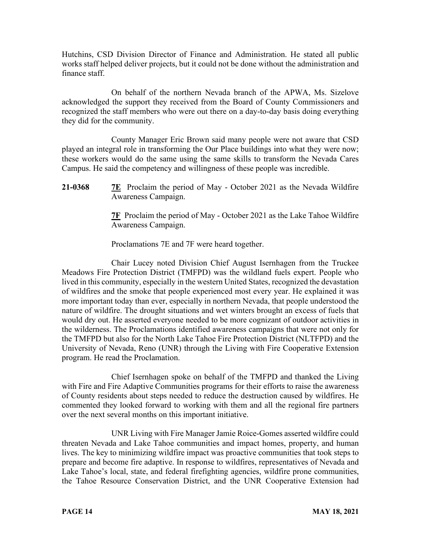Hutchins, CSD Division Director of Finance and Administration. He stated all public works staff helped deliver projects, but it could not be done without the administration and finance staff.

On behalf of the northern Nevada branch of the APWA, Ms. Sizelove acknowledged the support they received from the Board of County Commissioners and recognized the staff members who were out there on a day-to-day basis doing everything they did for the community.

County Manager Eric Brown said many people were not aware that CSD played an integral role in transforming the Our Place buildings into what they were now; these workers would do the same using the same skills to transform the Nevada Cares Campus. He said the competency and willingness of these people was incredible.

**21-0368 7E** Proclaim the period of May - October 2021 as the Nevada Wildfire Awareness Campaign.

> **7F** Proclaim the period of May - October 2021 as the Lake Tahoe Wildfire Awareness Campaign.

Proclamations 7E and 7F were heard together.

Chair Lucey noted Division Chief August Isernhagen from the Truckee Meadows Fire Protection District (TMFPD) was the wildland fuels expert. People who lived in this community, especially in the western United States, recognized the devastation of wildfires and the smoke that people experienced most every year. He explained it was more important today than ever, especially in northern Nevada, that people understood the nature of wildfire. The drought situations and wet winters brought an excess of fuels that would dry out. He asserted everyone needed to be more cognizant of outdoor activities in the wilderness. The Proclamations identified awareness campaigns that were not only for the TMFPD but also for the North Lake Tahoe Fire Protection District (NLTFPD) and the University of Nevada, Reno (UNR) through the Living with Fire Cooperative Extension program. He read the Proclamation.

Chief Isernhagen spoke on behalf of the TMFPD and thanked the Living with Fire and Fire Adaptive Communities programs for their efforts to raise the awareness of County residents about steps needed to reduce the destruction caused by wildfires. He commented they looked forward to working with them and all the regional fire partners over the next several months on this important initiative.

UNR Living with Fire Manager Jamie Roice-Gomes asserted wildfire could threaten Nevada and Lake Tahoe communities and impact homes, property, and human lives. The key to minimizing wildfire impact was proactive communities that took steps to prepare and become fire adaptive. In response to wildfires, representatives of Nevada and Lake Tahoe's local, state, and federal firefighting agencies, wildfire prone communities, the Tahoe Resource Conservation District, and the UNR Cooperative Extension had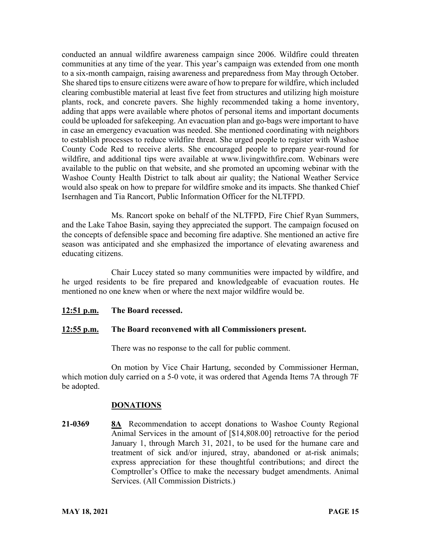conducted an annual wildfire awareness campaign since 2006. Wildfire could threaten communities at any time of the year. This year's campaign was extended from one month to a six-month campaign, raising awareness and preparedness from May through October. She shared tips to ensure citizens were aware of how to prepare for wildfire, which included clearing combustible material at least five feet from structures and utilizing high moisture plants, rock, and concrete pavers. She highly recommended taking a home inventory, adding that apps were available where photos of personal items and important documents could be uploaded for safekeeping. An evacuation plan and go-bags were important to have in case an emergency evacuation was needed. She mentioned coordinating with neighbors to establish processes to reduce wildfire threat. She urged people to register with Washoe County Code Red to receive alerts. She encouraged people to prepare year-round for wildfire, and additional tips were available at www.livingwithfire.com. Webinars were available to the public on that website, and she promoted an upcoming webinar with the Washoe County Health District to talk about air quality; the National Weather Service would also speak on how to prepare for wildfire smoke and its impacts. She thanked Chief Isernhagen and Tia Rancort, Public Information Officer for the NLTFPD.

Ms. Rancort spoke on behalf of the NLTFPD, Fire Chief Ryan Summers, and the Lake Tahoe Basin, saying they appreciated the support. The campaign focused on the concepts of defensible space and becoming fire adaptive. She mentioned an active fire season was anticipated and she emphasized the importance of elevating awareness and educating citizens.

Chair Lucey stated so many communities were impacted by wildfire, and he urged residents to be fire prepared and knowledgeable of evacuation routes. He mentioned no one knew when or where the next major wildfire would be.

**12:51 p.m. The Board recessed.**

### **12:55 p.m. The Board reconvened with all Commissioners present.**

There was no response to the call for public comment.

On motion by Vice Chair Hartung, seconded by Commissioner Herman, which motion duly carried on a 5-0 vote, it was ordered that Agenda Items 7A through 7F be adopted.

#### **DONATIONS**

**21-0369 8A** Recommendation to accept donations to Washoe County Regional Animal Services in the amount of [\$14,808.00] retroactive for the period January 1, through March 31, 2021, to be used for the humane care and treatment of sick and/or injured, stray, abandoned or at-risk animals; express appreciation for these thoughtful contributions; and direct the Comptroller's Office to make the necessary budget amendments. Animal Services. (All Commission Districts.)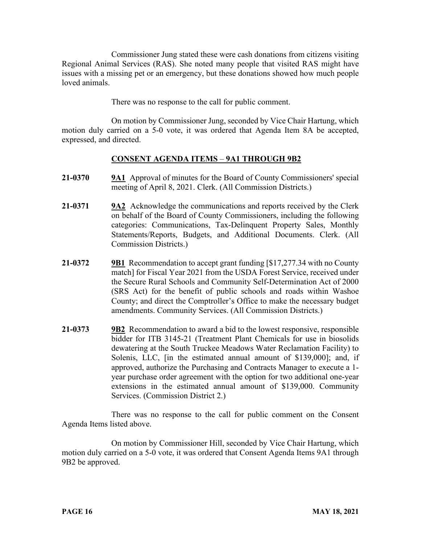Commissioner Jung stated these were cash donations from citizens visiting Regional Animal Services (RAS). She noted many people that visited RAS might have issues with a missing pet or an emergency, but these donations showed how much people loved animals.

There was no response to the call for public comment.

On motion by Commissioner Jung, seconded by Vice Chair Hartung, which motion duly carried on a 5-0 vote, it was ordered that Agenda Item 8A be accepted, expressed, and directed.

# **CONSENT AGENDA ITEMS** – **9A1 THROUGH 9B2**

- **21-0370 9A1** Approval of minutes for the Board of County Commissioners' special meeting of April 8, 2021. Clerk. (All Commission Districts.)
- **21-0371 9A2** Acknowledge the communications and reports received by the Clerk on behalf of the Board of County Commissioners, including the following categories: Communications, Tax-Delinquent Property Sales, Monthly Statements/Reports, Budgets, and Additional Documents. Clerk. (All Commission Districts.)
- **21-0372 9B1** Recommendation to accept grant funding [\$17,277.34 with no County match] for Fiscal Year 2021 from the USDA Forest Service, received under the Secure Rural Schools and Community Self-Determination Act of 2000 (SRS Act) for the benefit of public schools and roads within Washoe County; and direct the Comptroller's Office to make the necessary budget amendments. Community Services. (All Commission Districts.)
- **21-0373 9B2** Recommendation to award a bid to the lowest responsive, responsible bidder for ITB 3145-21 (Treatment Plant Chemicals for use in biosolids dewatering at the South Truckee Meadows Water Reclamation Facility) to Solenis, LLC, [in the estimated annual amount of \$139,000]; and, if approved, authorize the Purchasing and Contracts Manager to execute a 1 year purchase order agreement with the option for two additional one-year extensions in the estimated annual amount of \$139,000. Community Services. (Commission District 2.)

There was no response to the call for public comment on the Consent Agenda Items listed above.

On motion by Commissioner Hill, seconded by Vice Chair Hartung, which motion duly carried on a 5-0 vote, it was ordered that Consent Agenda Items 9A1 through 9B2 be approved.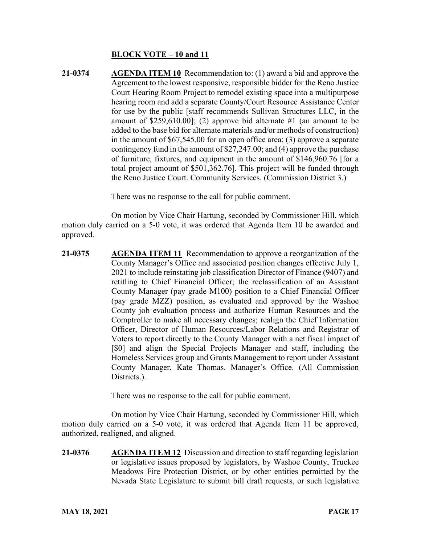# **BLOCK VOTE – 10 and 11**

**21-0374 AGENDA ITEM 10** Recommendation to: (1) award a bid and approve the Agreement to the lowest responsive, responsible bidder for the Reno Justice Court Hearing Room Project to remodel existing space into a multipurpose hearing room and add a separate County/Court Resource Assistance Center for use by the public [staff recommends Sullivan Structures LLC, in the amount of \$259,610.00]; (2) approve bid alternate #1 (an amount to be added to the base bid for alternate materials and/or methods of construction) in the amount of \$67,545.00 for an open office area; (3) approve a separate contingency fund in the amount of \$27,247.00; and (4) approve the purchase of furniture, fixtures, and equipment in the amount of \$146,960.76 [for a total project amount of \$501,362.76]. This project will be funded through the Reno Justice Court. Community Services. (Commission District 3.)

There was no response to the call for public comment.

On motion by Vice Chair Hartung, seconded by Commissioner Hill, which motion duly carried on a 5-0 vote, it was ordered that Agenda Item 10 be awarded and approved.

**21-0375 AGENDA ITEM 11** Recommendation to approve a reorganization of the County Manager's Office and associated position changes effective July 1, 2021 to include reinstating job classification Director of Finance (9407) and retitling to Chief Financial Officer; the reclassification of an Assistant County Manager (pay grade M100) position to a Chief Financial Officer (pay grade MZZ) position, as evaluated and approved by the Washoe County job evaluation process and authorize Human Resources and the Comptroller to make all necessary changes; realign the Chief Information Officer, Director of Human Resources/Labor Relations and Registrar of Voters to report directly to the County Manager with a net fiscal impact of [\$0] and align the Special Projects Manager and staff, including the Homeless Services group and Grants Management to report under Assistant County Manager, Kate Thomas. Manager's Office. (All Commission Districts.).

There was no response to the call for public comment.

On motion by Vice Chair Hartung, seconded by Commissioner Hill, which motion duly carried on a 5-0 vote, it was ordered that Agenda Item 11 be approved, authorized, realigned, and aligned.

**21-0376 AGENDA ITEM 12** Discussion and direction to staff regarding legislation or legislative issues proposed by legislators, by Washoe County, Truckee Meadows Fire Protection District, or by other entities permitted by the Nevada State Legislature to submit bill draft requests, or such legislative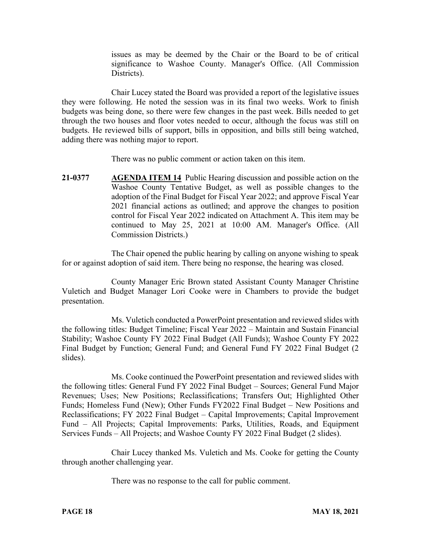issues as may be deemed by the Chair or the Board to be of critical significance to Washoe County. Manager's Office. (All Commission Districts).

Chair Lucey stated the Board was provided a report of the legislative issues they were following. He noted the session was in its final two weeks. Work to finish budgets was being done, so there were few changes in the past week. Bills needed to get through the two houses and floor votes needed to occur, although the focus was still on budgets. He reviewed bills of support, bills in opposition, and bills still being watched, adding there was nothing major to report.

There was no public comment or action taken on this item.

**21-0377 AGENDA ITEM 14** Public Hearing discussion and possible action on the Washoe County Tentative Budget, as well as possible changes to the adoption of the Final Budget for Fiscal Year 2022; and approve Fiscal Year 2021 financial actions as outlined; and approve the changes to position control for Fiscal Year 2022 indicated on Attachment A. This item may be continued to May 25, 2021 at 10:00 AM. Manager's Office. (All Commission Districts.)

The Chair opened the public hearing by calling on anyone wishing to speak for or against adoption of said item. There being no response, the hearing was closed.

County Manager Eric Brown stated Assistant County Manager Christine Vuletich and Budget Manager Lori Cooke were in Chambers to provide the budget presentation.

Ms. Vuletich conducted a PowerPoint presentation and reviewed slides with the following titles: Budget Timeline; Fiscal Year 2022 – Maintain and Sustain Financial Stability; Washoe County FY 2022 Final Budget (All Funds); Washoe County FY 2022 Final Budget by Function; General Fund; and General Fund FY 2022 Final Budget (2 slides).

Ms. Cooke continued the PowerPoint presentation and reviewed slides with the following titles: General Fund FY 2022 Final Budget – Sources; General Fund Major Revenues; Uses; New Positions; Reclassifications; Transfers Out; Highlighted Other Funds; Homeless Fund (New); Other Funds FY2022 Final Budget – New Positions and Reclassifications; FY 2022 Final Budget – Capital Improvements; Capital Improvement Fund – All Projects; Capital Improvements: Parks, Utilities, Roads, and Equipment Services Funds – All Projects; and Washoe County FY 2022 Final Budget (2 slides).

Chair Lucey thanked Ms. Vuletich and Ms. Cooke for getting the County through another challenging year.

There was no response to the call for public comment.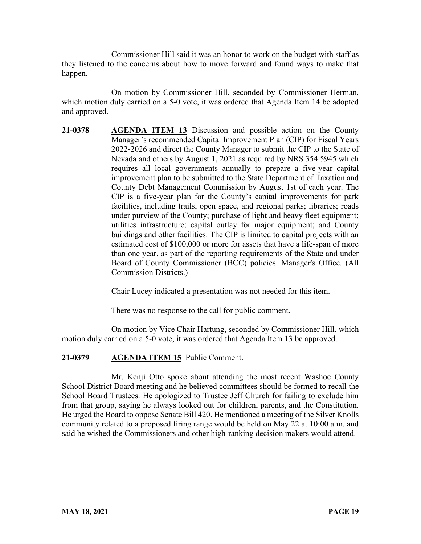Commissioner Hill said it was an honor to work on the budget with staff as they listened to the concerns about how to move forward and found ways to make that happen.

On motion by Commissioner Hill, seconded by Commissioner Herman, which motion duly carried on a 5-0 vote, it was ordered that Agenda Item 14 be adopted and approved.

**21-0378 AGENDA ITEM 13** Discussion and possible action on the County Manager's recommended Capital Improvement Plan (CIP) for Fiscal Years 2022-2026 and direct the County Manager to submit the CIP to the State of Nevada and others by August 1, 2021 as required by NRS 354.5945 which requires all local governments annually to prepare a five-year capital improvement plan to be submitted to the State Department of Taxation and County Debt Management Commission by August 1st of each year. The CIP is a five-year plan for the County's capital improvements for park facilities, including trails, open space, and regional parks; libraries; roads under purview of the County; purchase of light and heavy fleet equipment; utilities infrastructure; capital outlay for major equipment; and County buildings and other facilities. The CIP is limited to capital projects with an estimated cost of \$100,000 or more for assets that have a life-span of more than one year, as part of the reporting requirements of the State and under Board of County Commissioner (BCC) policies. Manager's Office. (All Commission Districts.)

Chair Lucey indicated a presentation was not needed for this item.

There was no response to the call for public comment.

On motion by Vice Chair Hartung, seconded by Commissioner Hill, which motion duly carried on a 5-0 vote, it was ordered that Agenda Item 13 be approved.

### **21-0379 AGENDA ITEM 15** Public Comment.

Mr. Kenji Otto spoke about attending the most recent Washoe County School District Board meeting and he believed committees should be formed to recall the School Board Trustees. He apologized to Trustee Jeff Church for failing to exclude him from that group, saying he always looked out for children, parents, and the Constitution. He urged the Board to oppose Senate Bill 420. He mentioned a meeting of the Silver Knolls community related to a proposed firing range would be held on May 22 at 10:00 a.m. and said he wished the Commissioners and other high-ranking decision makers would attend.